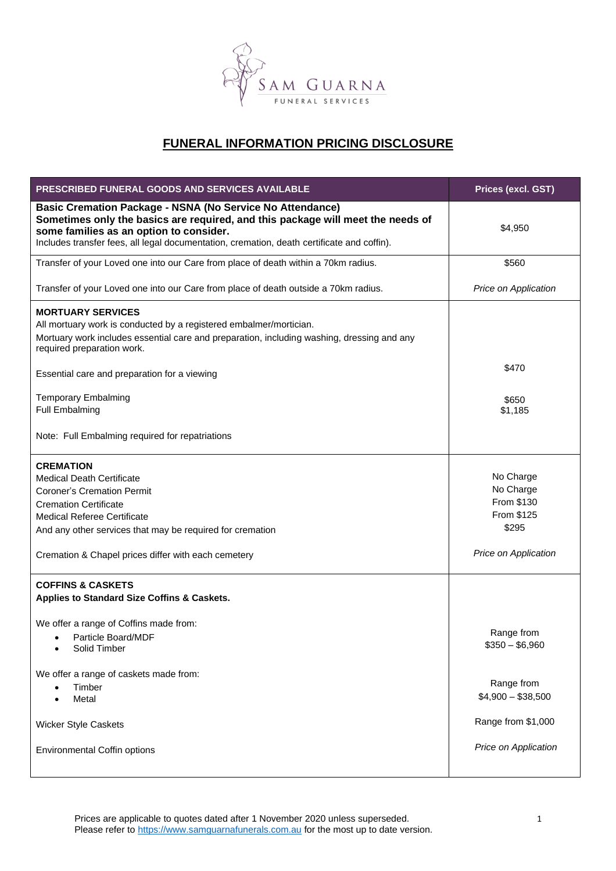

# **FUNERAL INFORMATION PRICING DISCLOSURE**

| <b>PRESCRIBED FUNERAL GOODS AND SERVICES AVAILABLE</b>                                                                                                                                                                                                                                       | Prices (excl. GST)                                                                  |
|----------------------------------------------------------------------------------------------------------------------------------------------------------------------------------------------------------------------------------------------------------------------------------------------|-------------------------------------------------------------------------------------|
| <b>Basic Cremation Package - NSNA (No Service No Attendance)</b><br>Sometimes only the basics are required, and this package will meet the needs of<br>some families as an option to consider.<br>Includes transfer fees, all legal documentation, cremation, death certificate and coffin). | \$4,950                                                                             |
| Transfer of your Loved one into our Care from place of death within a 70km radius.                                                                                                                                                                                                           | \$560                                                                               |
| Transfer of your Loved one into our Care from place of death outside a 70km radius.                                                                                                                                                                                                          | Price on Application                                                                |
| <b>MORTUARY SERVICES</b><br>All mortuary work is conducted by a registered embalmer/mortician.<br>Mortuary work includes essential care and preparation, including washing, dressing and any<br>required preparation work.                                                                   |                                                                                     |
| Essential care and preparation for a viewing                                                                                                                                                                                                                                                 | \$470                                                                               |
| <b>Temporary Embalming</b><br><b>Full Embalming</b>                                                                                                                                                                                                                                          | \$650<br>\$1,185                                                                    |
| Note: Full Embalming required for repatriations                                                                                                                                                                                                                                              |                                                                                     |
| <b>CREMATION</b><br><b>Medical Death Certificate</b><br><b>Coroner's Cremation Permit</b><br><b>Cremation Certificate</b><br><b>Medical Referee Certificate</b><br>And any other services that may be required for cremation<br>Cremation & Chapel prices differ with each cemetery          | No Charge<br>No Charge<br>From \$130<br>From \$125<br>\$295<br>Price on Application |
| <b>COFFINS &amp; CASKETS</b><br>Applies to Standard Size Coffins & Caskets.                                                                                                                                                                                                                  |                                                                                     |
| We offer a range of Coffins made from:<br>Particle Board/MDF<br>$\bullet$<br>Solid Timber                                                                                                                                                                                                    | Range from<br>$$350 - $6,960$                                                       |
| We offer a range of caskets made from:<br>Timber<br>Metal                                                                                                                                                                                                                                    | Range from<br>$$4,900 - $38,500$                                                    |
| <b>Wicker Style Caskets</b>                                                                                                                                                                                                                                                                  | Range from \$1,000                                                                  |
| <b>Environmental Coffin options</b>                                                                                                                                                                                                                                                          | Price on Application                                                                |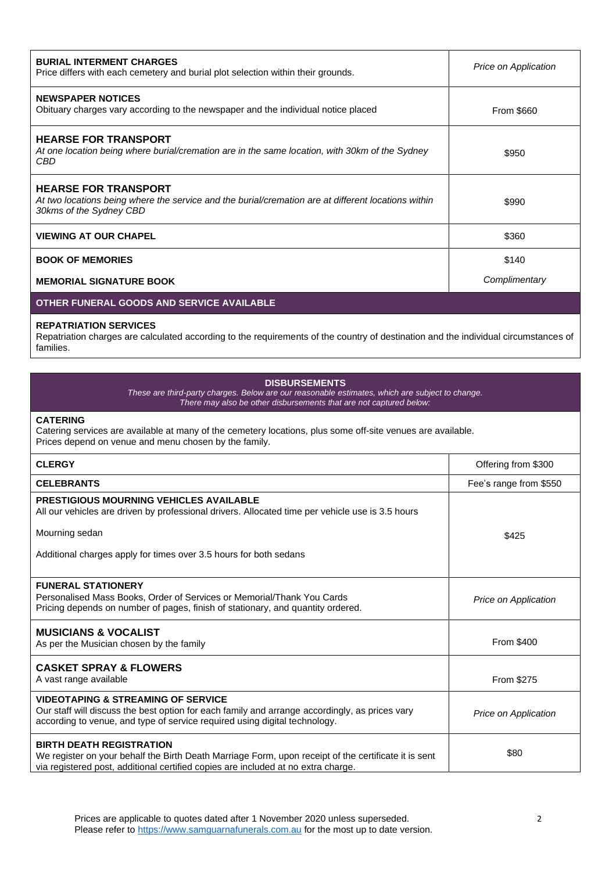| <b>BURIAL INTERMENT CHARGES</b><br>Price differs with each cemetery and burial plot selection within their grounds.                                           | Price on Application |
|---------------------------------------------------------------------------------------------------------------------------------------------------------------|----------------------|
| <b>NEWSPAPER NOTICES</b><br>Obituary charges vary according to the newspaper and the individual notice placed                                                 | <b>From \$660</b>    |
| <b>HEARSE FOR TRANSPORT</b><br>At one location being where burial/cremation are in the same location, with 30km of the Sydney<br>CBD                          | \$950                |
| <b>HEARSE FOR TRANSPORT</b><br>At two locations being where the service and the burial/cremation are at different locations within<br>30kms of the Sydney CBD | \$990                |
| <b>VIEWING AT OUR CHAPEL</b>                                                                                                                                  | \$360                |
| <b>BOOK OF MEMORIES</b>                                                                                                                                       | \$140                |
| <b>MEMORIAL SIGNATURE BOOK</b>                                                                                                                                | Complimentary        |

# **OTHER FUNERAL GOODS AND SERVICE AVAILABLE**

#### **REPATRIATION SERVICES**

Repatriation charges are calculated according to the requirements of the country of destination and the individual circumstances of families.

| <b>DISBURSEMENTS</b><br>These are third-party charges. Below are our reasonable estimates, which are subject to change.<br>There may also be other disbursements that are not captured below:                                 |                        |  |
|-------------------------------------------------------------------------------------------------------------------------------------------------------------------------------------------------------------------------------|------------------------|--|
| <b>CATERING</b><br>Catering services are available at many of the cemetery locations, plus some off-site venues are available.<br>Prices depend on venue and menu chosen by the family.                                       |                        |  |
| <b>CLERGY</b>                                                                                                                                                                                                                 | Offering from \$300    |  |
| <b>CELEBRANTS</b>                                                                                                                                                                                                             | Fee's range from \$550 |  |
| <b>PRESTIGIOUS MOURNING VEHICLES AVAILABLE</b><br>All our vehicles are driven by professional drivers. Allocated time per vehicle use is 3.5 hours                                                                            |                        |  |
| Mourning sedan                                                                                                                                                                                                                | \$425                  |  |
| Additional charges apply for times over 3.5 hours for both sedans                                                                                                                                                             |                        |  |
| <b>FUNERAL STATIONERY</b><br>Personalised Mass Books, Order of Services or Memorial/Thank You Cards<br>Pricing depends on number of pages, finish of stationary, and quantity ordered.                                        | Price on Application   |  |
| <b>MUSICIANS &amp; VOCALIST</b><br>As per the Musician chosen by the family                                                                                                                                                   | From \$400             |  |
| <b>CASKET SPRAY &amp; FLOWERS</b><br>A vast range available                                                                                                                                                                   | From \$275             |  |
| <b>VIDEOTAPING &amp; STREAMING OF SERVICE</b><br>Our staff will discuss the best option for each family and arrange accordingly, as prices vary<br>according to venue, and type of service required using digital technology. | Price on Application   |  |
| <b>BIRTH DEATH REGISTRATION</b><br>We register on your behalf the Birth Death Marriage Form, upon receipt of the certificate it is sent<br>via registered post, additional certified copies are included at no extra charge.  | \$80                   |  |